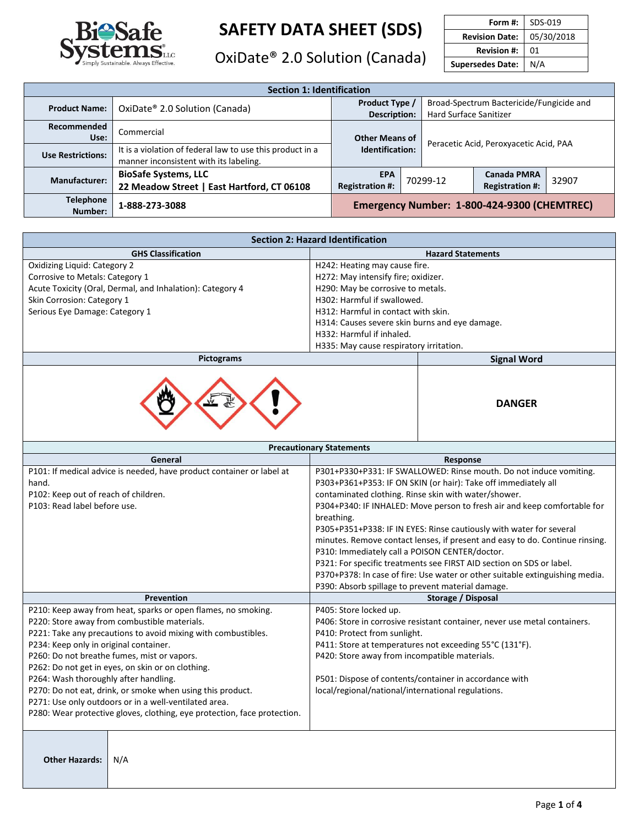

OxiDate<sup>®</sup> 2.0 Solution (Canada)

| Form #:                 | SDS-019    |
|-------------------------|------------|
| <b>Revision Date:</b>   | 05/30/2018 |
| <b>Revision #:</b>      | 01         |
| <b>Supersedes Date:</b> | N/A        |
|                         |            |

| <b>Section 1: Identification</b> |                                                                                                     |                                                                                                             |  |                                        |                                              |       |
|----------------------------------|-----------------------------------------------------------------------------------------------------|-------------------------------------------------------------------------------------------------------------|--|----------------------------------------|----------------------------------------------|-------|
| <b>Product Name:</b>             | OxiDate® 2.0 Solution (Canada)                                                                      | Broad-Spectrum Bactericide/Fungicide and<br>Product Type /<br><b>Hard Surface Sanitizer</b><br>Description: |  |                                        |                                              |       |
| Recommended<br>Use:              | Commercial                                                                                          | <b>Other Means of</b><br>Identification:                                                                    |  | Peracetic Acid, Peroxyacetic Acid, PAA |                                              |       |
| <b>Use Restrictions:</b>         | It is a violation of federal law to use this product in a<br>manner inconsistent with its labeling. |                                                                                                             |  |                                        |                                              |       |
| <b>Manufacturer:</b>             | <b>BioSafe Systems, LLC</b><br>22 Meadow Street   East Hartford, CT 06108                           | <b>EPA</b><br><b>Registration #:</b>                                                                        |  | 70299-12                               | <b>Canada PMRA</b><br><b>Registration #:</b> | 32907 |
| <b>Telephone</b><br>Number:      | 1-888-273-3088                                                                                      | Emergency Number: 1-800-424-9300 (CHEMTREC)                                                                 |  |                                        |                                              |       |

| <b>Section 2: Hazard Identification</b>                   |                                                |                          |
|-----------------------------------------------------------|------------------------------------------------|--------------------------|
| <b>GHS Classification</b>                                 |                                                | <b>Hazard Statements</b> |
| Oxidizing Liquid: Category 2                              | H242: Heating may cause fire.                  |                          |
| Corrosive to Metals: Category 1                           | H272: May intensify fire; oxidizer.            |                          |
| Acute Toxicity (Oral, Dermal, and Inhalation): Category 4 | H290: May be corrosive to metals.              |                          |
| Skin Corrosion: Category 1                                | H302: Harmful if swallowed.                    |                          |
| Serious Eye Damage: Category 1                            | H312: Harmful in contact with skin.            |                          |
|                                                           | H314: Causes severe skin burns and eye damage. |                          |
|                                                           | H332: Harmful if inhaled.                      |                          |
|                                                           | H335: May cause respiratory irritation.        |                          |
| Pictograms                                                |                                                | <b>Signal Word</b>       |
|                                                           |                                                | <b>DANGER</b>            |

| <b>Precautionary Statements</b>                                                                                                                                                                                                                                                                                                                                                                                                                                                                                                                                          |                                                                                                                                                                                                                                                                                                                                                                                                                                                                                                                                                                                                                                                                                                              |  |  |
|--------------------------------------------------------------------------------------------------------------------------------------------------------------------------------------------------------------------------------------------------------------------------------------------------------------------------------------------------------------------------------------------------------------------------------------------------------------------------------------------------------------------------------------------------------------------------|--------------------------------------------------------------------------------------------------------------------------------------------------------------------------------------------------------------------------------------------------------------------------------------------------------------------------------------------------------------------------------------------------------------------------------------------------------------------------------------------------------------------------------------------------------------------------------------------------------------------------------------------------------------------------------------------------------------|--|--|
| General                                                                                                                                                                                                                                                                                                                                                                                                                                                                                                                                                                  | Response                                                                                                                                                                                                                                                                                                                                                                                                                                                                                                                                                                                                                                                                                                     |  |  |
| P101: If medical advice is needed, have product container or label at<br>hand.<br>P102: Keep out of reach of children.<br>P103: Read label before use.                                                                                                                                                                                                                                                                                                                                                                                                                   | P301+P330+P331: IF SWALLOWED: Rinse mouth. Do not induce vomiting.<br>P303+P361+P353: IF ON SKIN (or hair): Take off immediately all<br>contaminated clothing. Rinse skin with water/shower.<br>P304+P340: IF INHALED: Move person to fresh air and keep comfortable for<br>breathing.<br>P305+P351+P338: IF IN EYES: Rinse cautiously with water for several<br>minutes. Remove contact lenses, if present and easy to do. Continue rinsing.<br>P310: Immediately call a POISON CENTER/doctor.<br>P321: For specific treatments see FIRST AID section on SDS or label.<br>P370+P378: In case of fire: Use water or other suitable extinguishing media.<br>P390: Absorb spillage to prevent material damage. |  |  |
| <b>Prevention</b>                                                                                                                                                                                                                                                                                                                                                                                                                                                                                                                                                        | Storage / Disposal                                                                                                                                                                                                                                                                                                                                                                                                                                                                                                                                                                                                                                                                                           |  |  |
| P210: Keep away from heat, sparks or open flames, no smoking.<br>P220: Store away from combustible materials.<br>P221: Take any precautions to avoid mixing with combustibles.<br>P234: Keep only in original container.<br>P260: Do not breathe fumes, mist or vapors.<br>P262: Do not get in eyes, on skin or on clothing.<br>P264: Wash thoroughly after handling.<br>P270: Do not eat, drink, or smoke when using this product.<br>P271: Use only outdoors or in a well-ventilated area.<br>P280: Wear protective gloves, clothing, eye protection, face protection. | P405: Store locked up.<br>P406: Store in corrosive resistant container, never use metal containers.<br>P410: Protect from sunlight.<br>P411: Store at temperatures not exceeding 55°C (131°F).<br>P420: Store away from incompatible materials.<br>P501: Dispose of contents/container in accordance with<br>local/regional/national/international regulations.                                                                                                                                                                                                                                                                                                                                              |  |  |
| <b>Other Hazards:</b><br>N/A                                                                                                                                                                                                                                                                                                                                                                                                                                                                                                                                             |                                                                                                                                                                                                                                                                                                                                                                                                                                                                                                                                                                                                                                                                                                              |  |  |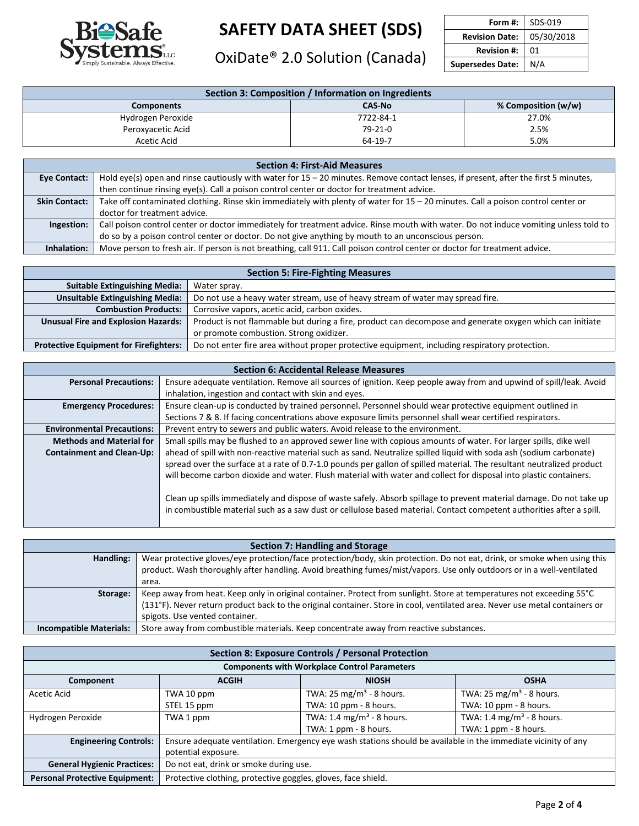

OxiDate<sup>®</sup> 2.0 Solution (Canada)

| Form #: $\mathsf{I}$    | SDS-019    |
|-------------------------|------------|
| <b>Revision Date:</b>   | 05/30/2018 |
| <b>Revision #:</b>      | 01         |
| <b>Supersedes Date:</b> | N/A        |

| Section 3: Composition / Information on Ingredients |               |                       |  |
|-----------------------------------------------------|---------------|-----------------------|--|
| <b>Components</b>                                   | <b>CAS-No</b> | % Composition $(w/w)$ |  |
| Hydrogen Peroxide                                   | 7722-84-1     | 27.0%                 |  |
| Peroxyacetic Acid                                   | 79-21-0       | 2.5%                  |  |
| Acetic Acid                                         | 64-19-7       | 5.0%                  |  |

| <b>Section 4: First-Aid Measures</b> |                                                                                                                                      |  |  |
|--------------------------------------|--------------------------------------------------------------------------------------------------------------------------------------|--|--|
| Eye Contact:                         | Hold eye(s) open and rinse cautiously with water for 15 - 20 minutes. Remove contact lenses, if present, after the first 5 minutes,  |  |  |
|                                      | then continue rinsing eye(s). Call a poison control center or doctor for treatment advice.                                           |  |  |
| <b>Skin Contact:</b>                 | Take off contaminated clothing. Rinse skin immediately with plenty of water for $15 - 20$ minutes. Call a poison control center or   |  |  |
|                                      | doctor for treatment advice.                                                                                                         |  |  |
| Ingestion:                           | Call poison control center or doctor immediately for treatment advice. Rinse mouth with water. Do not induce vomiting unless told to |  |  |
|                                      | do so by a poison control center or doctor. Do not give anything by mouth to an unconscious person.                                  |  |  |
| Inhalation:                          | Move person to fresh air. If person is not breathing, call 911. Call poison control center or doctor for treatment advice.           |  |  |

| <b>Section 5: Fire-Fighting Measures</b>      |                                                                                                          |  |
|-----------------------------------------------|----------------------------------------------------------------------------------------------------------|--|
| <b>Suitable Extinguishing Media:</b>          | Water spray.                                                                                             |  |
| <b>Unsuitable Extinguishing Media:</b>        | Do not use a heavy water stream, use of heavy stream of water may spread fire.                           |  |
| <b>Combustion Products:</b>                   | Corrosive vapors, acetic acid, carbon oxides.                                                            |  |
| <b>Unusual Fire and Explosion Hazards:</b>    | Product is not flammable but during a fire, product can decompose and generate oxygen which can initiate |  |
|                                               | or promote combustion. Strong oxidizer.                                                                  |  |
| <b>Protective Equipment for Firefighters:</b> | Do not enter fire area without proper protective equipment, including respiratory protection.            |  |

|                                   | <b>Section 6: Accidental Release Measures</b>                                                                         |  |  |
|-----------------------------------|-----------------------------------------------------------------------------------------------------------------------|--|--|
| <b>Personal Precautions:</b>      | Ensure adequate ventilation. Remove all sources of ignition. Keep people away from and upwind of spill/leak. Avoid    |  |  |
|                                   | inhalation, ingestion and contact with skin and eyes.                                                                 |  |  |
| <b>Emergency Procedures:</b>      | Ensure clean-up is conducted by trained personnel. Personnel should wear protective equipment outlined in             |  |  |
|                                   | Sections 7 & 8. If facing concentrations above exposure limits personnel shall wear certified respirators.            |  |  |
| <b>Environmental Precautions:</b> | Prevent entry to sewers and public waters. Avoid release to the environment.                                          |  |  |
| <b>Methods and Material for</b>   | Small spills may be flushed to an approved sewer line with copious amounts of water. For larger spills, dike well     |  |  |
| <b>Containment and Clean-Up:</b>  | ahead of spill with non-reactive material such as sand. Neutralize spilled liquid with soda ash (sodium carbonate)    |  |  |
|                                   | spread over the surface at a rate of 0.7-1.0 pounds per gallon of spilled material. The resultant neutralized product |  |  |
|                                   | will become carbon dioxide and water. Flush material with water and collect for disposal into plastic containers.     |  |  |
|                                   |                                                                                                                       |  |  |
|                                   | Clean up spills immediately and dispose of waste safely. Absorb spillage to prevent material damage. Do not take up   |  |  |
|                                   | in combustible material such as a saw dust or cellulose based material. Contact competent authorities after a spill.  |  |  |
|                                   |                                                                                                                       |  |  |

| <b>Section 7: Handling and Storage</b> |                                                                                                                             |  |
|----------------------------------------|-----------------------------------------------------------------------------------------------------------------------------|--|
| Handling:                              | Wear protective gloves/eye protection/face protection/body, skin protection. Do not eat, drink, or smoke when using this    |  |
|                                        | product. Wash thoroughly after handling. Avoid breathing fumes/mist/vapors. Use only outdoors or in a well-ventilated       |  |
|                                        | area.                                                                                                                       |  |
| Storage:                               | Keep away from heat. Keep only in original container. Protect from sunlight. Store at temperatures not exceeding 55°C       |  |
|                                        | (131°F). Never return product back to the original container. Store in cool, ventilated area. Never use metal containers or |  |
|                                        | spigots. Use vented container.                                                                                              |  |
| <b>Incompatible Materials:</b>         | Store away from combustible materials. Keep concentrate away from reactive substances.                                      |  |

| <b>Section 8: Exposure Controls / Personal Protection</b> |                                                                                                               |                                      |                                      |  |
|-----------------------------------------------------------|---------------------------------------------------------------------------------------------------------------|--------------------------------------|--------------------------------------|--|
| <b>Components with Workplace Control Parameters</b>       |                                                                                                               |                                      |                                      |  |
| Component                                                 | <b>ACGIH</b><br><b>NIOSH</b><br><b>OSHA</b>                                                                   |                                      |                                      |  |
| Acetic Acid                                               | TWA 10 ppm                                                                                                    | TWA: 25 mg/m <sup>3</sup> - 8 hours. | TWA: 25 mg/m <sup>3</sup> - 8 hours. |  |
|                                                           | TWA: 10 ppm - 8 hours.<br>TWA: 10 ppm - 8 hours.<br>STEL 15 ppm                                               |                                      |                                      |  |
| Hydrogen Peroxide                                         | TWA: 1.4 mg/m <sup>3</sup> - 8 hours.<br>TWA: 1.4 mg/m <sup>3</sup> - 8 hours.<br>TWA 1 ppm                   |                                      |                                      |  |
|                                                           | TWA: 1 ppm - 8 hours.<br>TWA: 1 ppm - 8 hours.                                                                |                                      |                                      |  |
| <b>Engineering Controls:</b>                              | Ensure adequate ventilation. Emergency eye wash stations should be available in the immediate vicinity of any |                                      |                                      |  |
|                                                           | potential exposure.                                                                                           |                                      |                                      |  |
| <b>General Hygienic Practices:</b>                        | Do not eat, drink or smoke during use.                                                                        |                                      |                                      |  |
| <b>Personal Protective Equipment:</b>                     | Protective clothing, protective goggles, gloves, face shield.                                                 |                                      |                                      |  |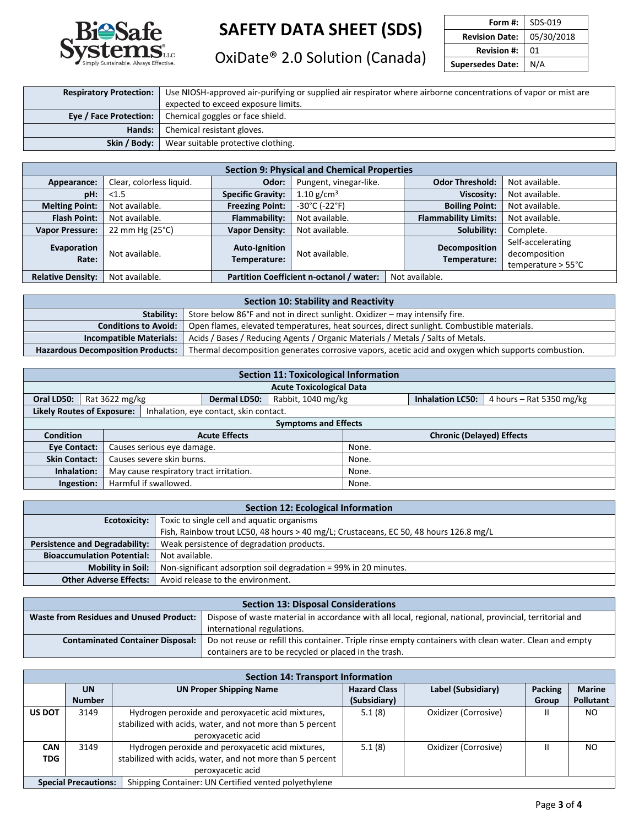

OxiDate<sup>®</sup> 2.0 Solution (Canada)

| Form #:                 | SDS-019    |
|-------------------------|------------|
| <b>Revision Date:</b>   | 05/30/2018 |
| <b>Revision #:</b>      | 01         |
| <b>Supersedes Date:</b> | N/A        |
|                         |            |

| <b>Respiratory Protection:</b> | Use NIOSH-approved air-purifying or supplied air respirator where airborne concentrations of vapor or mist are |  |  |  |  |
|--------------------------------|----------------------------------------------------------------------------------------------------------------|--|--|--|--|
|                                | expected to exceed exposure limits.                                                                            |  |  |  |  |
|                                | <b>Eye / Face Protection:</b> Chemical goggles or face shield.                                                 |  |  |  |  |
| Hands: I                       | Chemical resistant gloves.                                                                                     |  |  |  |  |
|                                | <b>Skin / Body:</b> Wear suitable protective clothing.                                                         |  |  |  |  |

| <b>Section 9: Physical and Chemical Properties</b> |                          |                                          |                                    |  |                               |                                                                    |                             |                |                   |                |
|----------------------------------------------------|--------------------------|------------------------------------------|------------------------------------|--|-------------------------------|--------------------------------------------------------------------|-----------------------------|----------------|-------------------|----------------|
| Appearance:                                        | Clear, colorless liquid. | Odor:                                    | Pungent, vinegar-like.             |  | <b>Odor Threshold:</b>        | Not available.                                                     |                             |                |                   |                |
| pH:                                                | < 1.5                    | <b>Specific Gravity:</b>                 | 1.10 $g/cm^3$                      |  |                               |                                                                    |                             |                | <b>Viscosity:</b> | Not available. |
| <b>Melting Point:</b>                              | Not available.           | <b>Freezing Point:</b>                   | $-30^{\circ}$ C ( $-22^{\circ}$ F) |  |                               |                                                                    | <b>Boiling Point:</b>       | Not available. |                   |                |
| <b>Flash Point:</b>                                | Not available.           | <b>Flammability:</b>                     | Not available.                     |  |                               |                                                                    | <b>Flammability Limits:</b> | Not available. |                   |                |
| <b>Vapor Pressure:</b>                             | 22 mm Hg $(25^{\circ}C)$ | <b>Vapor Density:</b>                    | Not available.                     |  | Solubility:                   | Complete.                                                          |                             |                |                   |                |
| Evaporation<br>Rate:                               | Not available.           | <b>Auto-Ignition</b><br>Temperature:     | Not available.                     |  | Decomposition<br>Temperature: | Self-accelerating<br>decomposition<br>temperature $> 55^{\circ}$ C |                             |                |                   |                |
| <b>Relative Density:</b>                           | Not available.           | Partition Coefficient n-octanol / water: |                                    |  | Not available.                |                                                                    |                             |                |                   |                |

| Section 10: Stability and Reactivity                                                      |                                                                                                     |  |  |  |  |
|-------------------------------------------------------------------------------------------|-----------------------------------------------------------------------------------------------------|--|--|--|--|
| Store below 86°F and not in direct sunlight. Oxidizer – may intensify fire.<br>Stability: |                                                                                                     |  |  |  |  |
| <b>Conditions to Avoid:</b>                                                               | Open flames, elevated temperatures, heat sources, direct sunlight. Combustible materials.           |  |  |  |  |
| <b>Incompatible Materials:</b>                                                            | Acids / Bases / Reducing Agents / Organic Materials / Metals / Salts of Metals.                     |  |  |  |  |
| <b>Hazardous Decomposition Products:</b>                                                  | Thermal decomposition generates corrosive vapors, acetic acid and oxygen which supports combustion. |  |  |  |  |

| <b>Section 11: Toxicological Information</b> |                                                   |                            |                                        |                                 |                                  |                         |                            |  |
|----------------------------------------------|---------------------------------------------------|----------------------------|----------------------------------------|---------------------------------|----------------------------------|-------------------------|----------------------------|--|
|                                              |                                                   |                            |                                        | <b>Acute Toxicological Data</b> |                                  |                         |                            |  |
| Oral LD50:                                   | Rat 3622 mg/kg                                    |                            | <b>Dermal LD50:</b>                    | Rabbit, 1040 mg/kg              |                                  | <b>Inhalation LC50:</b> | 4 hours $-$ Rat 5350 mg/kg |  |
| <b>Likely Routes of Exposure:</b>            |                                                   |                            | Inhalation, eye contact, skin contact. |                                 |                                  |                         |                            |  |
|                                              | <b>Symptoms and Effects</b>                       |                            |                                        |                                 |                                  |                         |                            |  |
| <b>Condition</b>                             |                                                   | <b>Acute Effects</b>       |                                        |                                 | <b>Chronic (Delayed) Effects</b> |                         |                            |  |
| Eye Contact:                                 |                                                   | Causes serious eye damage. |                                        |                                 | None.                            |                         |                            |  |
|                                              | Causes severe skin burns.<br><b>Skin Contact:</b> |                            |                                        | None.                           |                                  |                         |                            |  |
| Inhalation:                                  | May cause respiratory tract irritation.           |                            |                                        |                                 | None.                            |                         |                            |  |
|                                              | Harmful if swallowed.<br>Ingestion:               |                            |                                        |                                 | None.                            |                         |                            |  |

| <b>Section 12: Ecological Information</b>                                                    |                                   |  |  |  |  |
|----------------------------------------------------------------------------------------------|-----------------------------------|--|--|--|--|
| Toxic to single cell and aquatic organisms<br>Ecotoxicity:                                   |                                   |  |  |  |  |
| Fish, Rainbow trout LC50, 48 hours > 40 mg/L; Crustaceans, EC 50, 48 hours 126.8 mg/L        |                                   |  |  |  |  |
| Weak persistence of degradation products.<br><b>Persistence and Degradability:</b>           |                                   |  |  |  |  |
| <b>Bioaccumulation Potential:</b><br>Not available.                                          |                                   |  |  |  |  |
| Non-significant adsorption soil degradation = 99% in 20 minutes.<br><b>Mobility in Soil:</b> |                                   |  |  |  |  |
| <b>Other Adverse Effects:</b>                                                                | Avoid release to the environment. |  |  |  |  |

| <b>Section 13: Disposal Considerations</b>                                                                                                                |                                                                                                        |  |  |  |
|-----------------------------------------------------------------------------------------------------------------------------------------------------------|--------------------------------------------------------------------------------------------------------|--|--|--|
| <b>Waste from Residues and Unused Product:</b><br>Dispose of waste material in accordance with all local, regional, national, provincial, territorial and |                                                                                                        |  |  |  |
|                                                                                                                                                           | international regulations.                                                                             |  |  |  |
| <b>Contaminated Container Disposal:</b>                                                                                                                   | Do not reuse or refill this container. Triple rinse empty containers with clean water. Clean and empty |  |  |  |
| containers are to be recycled or placed in the trash.                                                                                                     |                                                                                                        |  |  |  |

|                                                                  | <b>Section 14: Transport Information</b>                  |                                                           |                     |                      |                |                  |  |  |  |  |
|------------------------------------------------------------------|-----------------------------------------------------------|-----------------------------------------------------------|---------------------|----------------------|----------------|------------------|--|--|--|--|
|                                                                  | <b>UN</b>                                                 | <b>UN Proper Shipping Name</b>                            | <b>Hazard Class</b> | Label (Subsidiary)   | <b>Packing</b> | <b>Marine</b>    |  |  |  |  |
|                                                                  | <b>Number</b>                                             |                                                           | (Subsidiary)        |                      | Group          | <b>Pollutant</b> |  |  |  |  |
| <b>US DOT</b>                                                    | 3149                                                      | Hydrogen peroxide and peroxyacetic acid mixtures,         | 5.1(8)              | Oxidizer (Corrosive) |                | N <sub>O</sub>   |  |  |  |  |
|                                                                  |                                                           | stabilized with acids, water, and not more than 5 percent |                     |                      |                |                  |  |  |  |  |
|                                                                  |                                                           | peroxyacetic acid                                         |                     |                      |                |                  |  |  |  |  |
| <b>CAN</b>                                                       | Hydrogen peroxide and peroxyacetic acid mixtures,<br>3149 |                                                           | 5.1(8)              | Oxidizer (Corrosive) | Ш              | NO               |  |  |  |  |
| stabilized with acids, water, and not more than 5 percent<br>TDG |                                                           |                                                           |                     |                      |                |                  |  |  |  |  |
| peroxyacetic acid                                                |                                                           |                                                           |                     |                      |                |                  |  |  |  |  |
|                                                                  | <b>Special Precautions:</b>                               | Shipping Container: UN Certified vented polyethylene      |                     |                      |                |                  |  |  |  |  |